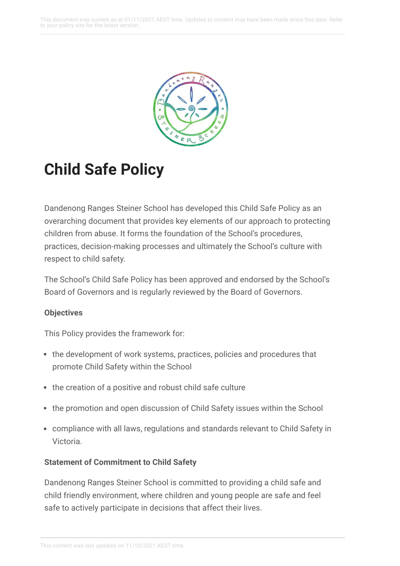

# **Child Safe Policy**

Dandenong Ranges Steiner School has developed this Child Safe Policy as an overarching document that provides key elements of our approach to protecting children from abuse. It forms the foundation of the School's procedures, practices, decision-making processes and ultimately the School's culture with respect to child safety.

The School's Child Safe Policy has been approved and endorsed by the School's Board of Governors and is regularly reviewed by the Board of Governors.

# **Objectives**

This Policy provides the framework for:

- the development of work systems, practices, policies and procedures that promote Child Safety within the School
- the creation of a positive and robust child safe culture
- the promotion and open discussion of Child Safety issues within the School
- compliance with all laws, regulations and standards relevant to Child Safety in Victoria.

# **Statement of Commitment to Child Safety**

Dandenong Ranges Steiner School is committed to providing a child safe and child friendly environment, where children and young people are safe and feel safe to actively participate in decisions that affect their lives.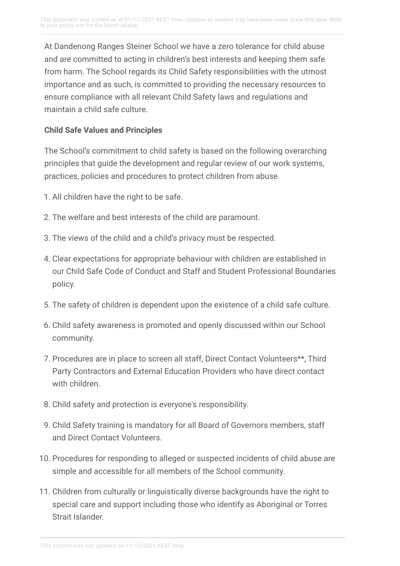At Dandenong Ranges Steiner School we have a zero tolerance for child abuse and are committed to acting in children's best interests and keeping them safe from harm. The School regards its Child Safety responsibilities with the utmost importance and as such, is committed to providing the necessary resources to ensure compliance with all relevant Child Safety laws and regulations and maintain a child safe culture.

# **Child Safe Values and Principles**

The School's commitment to child safety is based on the following overarching principles that guide the development and regular review of our work systems, practices, policies and procedures to protect children from abuse.

- 1. All children have the right to be safe.
- 2. The welfare and best interests of the child are paramount.
- 3. The views of the child and a child's privacy must be respected.
- 4. Clear expectations for appropriate behaviour with children are established in our Child Safe Code of Conduct and Staff and Student Professional Boundaries policy.
- 5. The safety of children is dependent upon the existence of a child safe culture.
- 6. Child safety awareness is promoted and openly discussed within our School community.
- 7. Procedures are in place to screen all staff, Direct Contact Volunteers\*\*, Third Party Contractors and External Education Providers who have direct contact with children
- 8. Child safety and protection is everyone's responsibility.
- 9. Child Safety training is mandatory for all Board of Governors members, staff and Direct Contact Volunteers.
- 10. Procedures for responding to alleged or suspected incidents of child abuse are simple and accessible for all members of the School community.
- 11. Children from culturally or linguistically diverse backgrounds have the right to special care and support including those who identify as Aboriginal or Torres Strait Islander.

This content was last updated on 11/10/2021 AEST time.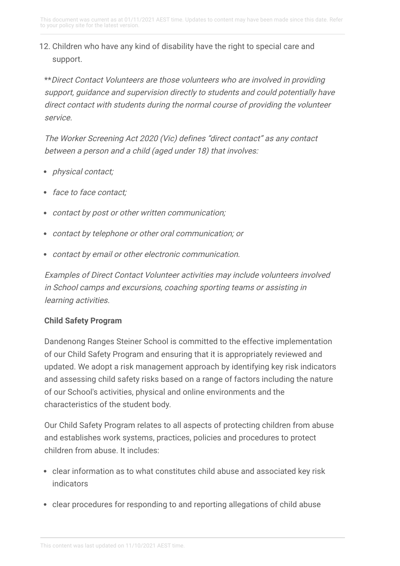# 12. Children who have any kind of disability have the right to special care and support.

\*\*Direct Contact Volunteers are those volunteers who are involved in providing support, guidance and supervision directly to students and could potentially have direct contact with students during the normal course of providing the volunteer service.

The Worker Screening Act 2020 (Vic) defines "direct contact" as any contact between <sup>a</sup> person and <sup>a</sup> child (aged under 18) that involves:

- *physical contact;*
- face to face contact;
- contact by post or other written communication;
- contact by telephone or other oral communication; or
- contact by email or other electronic communication.

Examples of Direct Contact Volunteer activities may include volunteers involved in School camps and excursions, coaching sporting teams or assisting in learning activities.

# **Child Safety Program**

Dandenong Ranges Steiner School is committed to the effective implementation of our Child Safety Program and ensuring that it is appropriately reviewed and updated. We adopt a risk management approach by identifying key risk indicators and assessing child safety risks based on a range of factors including the nature of our School's activities, physical and online environments and the characteristics of the student body.

Our Child Safety Program relates to all aspects of protecting children from abuse and establishes work systems, practices, policies and procedures to protect children from abuse. It includes:

- clear information as to what constitutes child abuse and associated key risk indicators
- clear procedures for responding to and reporting allegations of child abuse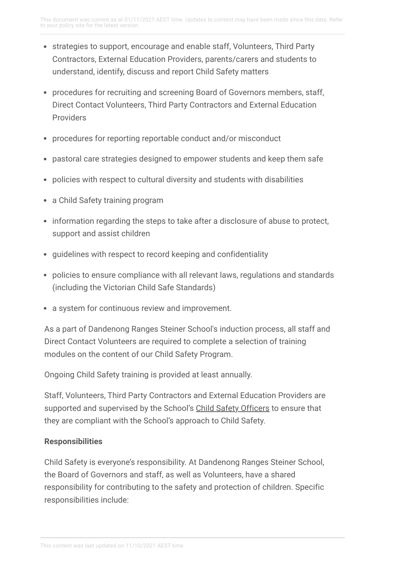- strategies to support, encourage and enable staff, Volunteers, Third Party Contractors, External Education Providers, parents/carers and students to understand, identify, discuss and report Child Safety matters
- procedures for recruiting and screening Board of Governors members, staff, Direct Contact Volunteers, Third Party Contractors and External Education Providers
- procedures for reporting reportable conduct and/or misconduct
- pastoral care strategies designed to empower students and keep them safe
- policies with respect to cultural diversity and students with disabilities
- a Child Safety training program
- information regarding the steps to take after a disclosure of abuse to protect, support and assist children
- guidelines with respect to record keeping and confidentiality
- policies to ensure compliance with all relevant laws, regulations and standards (including the Victorian Child Safe Standards)
- a system for continuous review and improvement.

As a part of Dandenong Ranges Steiner School's induction process, all staff and Direct Contact Volunteers are required to complete a selection of training modules on the content of our Child Safety Program.

Ongoing Child Safety training is provided at least annually.

Staff, Volunteers, Third Party Contractors and External Education Providers are supported and supervised by the School's Child Safety [Officers](https://drss.complispaceprimary.com.au/module/53/page/a621ebbc-9a19-4373-bde1-cf5de6608dab.md) to ensure that they are compliant with the School's approach to Child Safety.

#### **Responsibilities**

Child Safety is everyone's responsibility. At Dandenong Ranges Steiner School, the Board of Governors and staff, as well as Volunteers, have a shared responsibility for contributing to the safety and protection of children. Specific responsibilities include: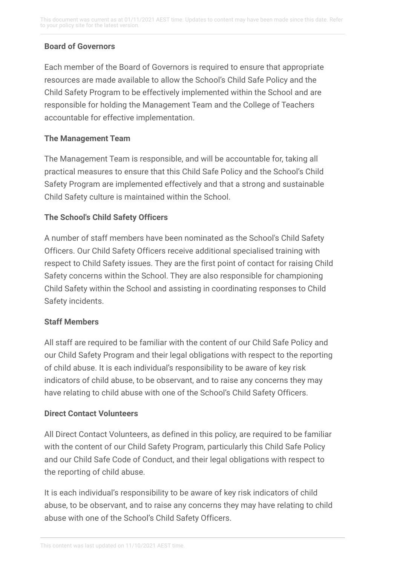# **Board of Governors**

Each member of the Board of Governors is required to ensure that appropriate resources are made available to allow the School's Child Safe Policy and the Child Safety Program to be effectively implemented within the School and are responsible for holding the Management Team and the College of Teachers accountable for effective implementation.

### **The Management Team**

The Management Team is responsible, and will be accountable for, taking all practical measures to ensure that this Child Safe Policy and the School's Child Safety Program are implemented effectively and that a strong and sustainable Child Safety culture is maintained within the School.

#### **The School's Child Safety Officers**

A number of staff members have been nominated as the School's Child Safety Officers. Our Child Safety Officers receive additional specialised training with respect to Child Safety issues. They are the first point of contact for raising Child Safety concerns within the School. They are also responsible for championing Child Safety within the School and assisting in coordinating responses to Child Safety incidents.

# **Staff Members**

All staff are required to be familiar with the content of our Child Safe Policy and our Child Safety Program and their legal obligations with respect to the reporting of child abuse. It is each individual's responsibility to be aware of key risk indicators of child abuse, to be observant, and to raise any concerns they may have relating to child abuse with one of the School's Child Safety Officers.

#### **Direct Contact Volunteers**

All Direct Contact Volunteers, as defined in this policy, are required to be familiar with the content of our Child Safety Program, particularly this Child Safe Policy and our Child Safe Code of Conduct, and their legal obligations with respect to the reporting of child abuse.

It is each individual's responsibility to be aware of key risk indicators of child abuse, to be observant, and to raise any concerns they may have relating to child abuse with one of the School's Child Safety Officers.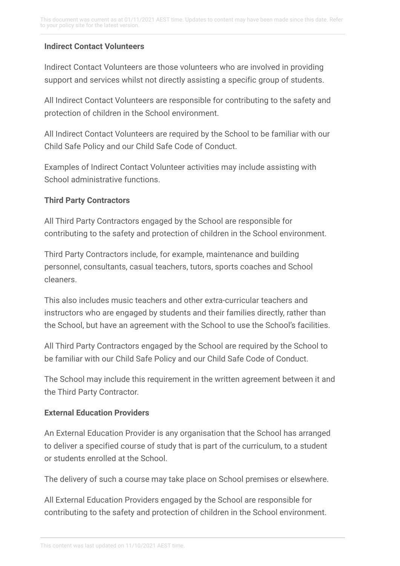#### **Indirect Contact Volunteers**

Indirect Contact Volunteers are those volunteers who are involved in providing support and services whilst not directly assisting a specific group of students.

All Indirect Contact Volunteers are responsible for contributing to the safety and protection of children in the School environment.

All Indirect Contact Volunteers are required by the School to be familiar with our Child Safe Policy and our Child Safe Code of Conduct.

Examples of Indirect Contact Volunteer activities may include assisting with School administrative functions.

#### **Third Party Contractors**

All Third Party Contractors engaged by the School are responsible for contributing to the safety and protection of children in the School environment.

Third Party Contractors include, for example, maintenance and building personnel, consultants, casual teachers, tutors, sports coaches and School cleaners.

This also includes music teachers and other extra-curricular teachers and instructors who are engaged by students and their families directly, rather than the School, but have an agreement with the School to use the School's facilities.

All Third Party Contractors engaged by the School are required by the School to be familiar with our Child Safe Policy and our Child Safe Code of Conduct.

The School may include this requirement in the written agreement between it and the Third Party Contractor.

#### **External Education Providers**

An External Education Provider is any organisation that the School has arranged to deliver a specified course of study that is part of the curriculum, to a student or students enrolled at the School.

The delivery of such a course may take place on School premises or elsewhere.

All External Education Providers engaged by the School are responsible for contributing to the safety and protection of children in the School environment.